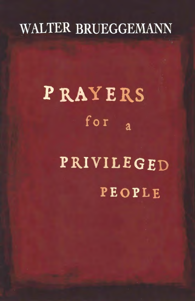# **WALTER BRUEGGEMANN**

# PRAYERS for  $\overline{a}$ PRIVILEGED PEOPLE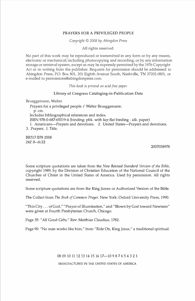#### **PRAYERS FOR A PRIVILEGED PEOPLE**

*Copyright* © *2008 by Abingdon Press* 

All rights reserved.

No part of this work may be reproduced or transmitted in any form or by any means, electronic or mechanical, including photocopying and recording, or by any information storage or retrieval system, except as may be expressly permitted by the 1976 Copyright Act or in writing from the publisher.Requests for permission should be addressed to Abingdon Press, P.O.Box 801, 201 Eighth Avenue South, Nashville, TN 37202-0801, or e-mailed to permissions@abingdonpress.com.

*This book is printed on acid-free paper.* 

#### **Library of Congress Cataloging-in-Publication Data**

Brueggemann, Walter.

Prayers for a privileged people / Walter Brueggemann. p.cm. Includes bibliographical references and index. IS BN 978-0-687-65019-4 (binding: pbk. with lay-flat binding : alk. paper) 1. Americans-Prayers and devotions. 2. United States-Prayers and devotions.

3. Prayers. **I.** Title.

BR517.B78 2008 242'.8--dc22

2007038978

Some scripture quotations are taken from the *New Revised Standard Version of the Bible,*  copyright 1989, by the Division of Christian Education of the National Council of the Churches of Christ in the United States of America. Used by permission. All rights reserved.

Some scripture quotations are from the King James or Authorized Version of the Bible.

The Collect from *The Book of Common Prayer.* New York: Oxford University Press, 1990.

"This City ... of God," "Prayer of Illumination," and " Blown by God toward Newness" were given at Fourth Presbyterian Church, Chicago.

Page 35: "All Good Gifts," Rev. Matthias Claudius, 1782.

Page 90: "No man works like him," from "Ride On, King Jesus," a traditional spiritual.

#### 08 09 10 11 12 13 14 15 16 17-10 9 8 7 6 5 4 3 2 1 MANUFACTURED IN THE UNITED STATES OF AMERICA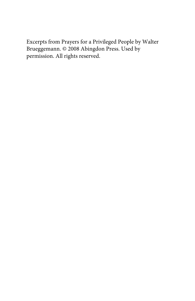Excerpts from Prayers for a Privileged People by Walter Brueggemann. © 2008 Abingdon Press. Used by permission. All rights reserved.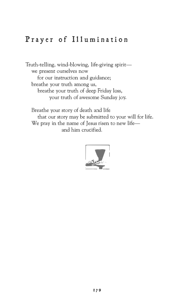#### **Prayer of Illumination**

Truth-telling, wind-blowing, life-giving spiritwe present ourselves now for our instruction and guidance; breathe your truth among us, breathe your truth of deep Friday loss, your truth of awesome Sunday joy.

Breathe your story of death and life that our story may be submitted to your will for life. We pray in the name of Jesus risen to new lifeand him crucified.

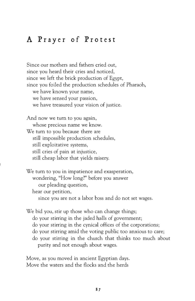#### **A Prayer of Protest**

Since our mothers and fathers cried out, since you heard their cries and noticed, since we left the brick production of Egypt, since you foiled the production schedules of Pharaoh, we have known your name, we have sensed your passion, we have treasured your vision of justice. And now we tum to you again, whose precious name we know. We turn to you because there are still impossible production schedules, still exploitative systems, still cries of pain at injustice, still cheap labor that yields misery. We tum to you in impatience and exasperation, wondering, "How long?" before you answer

our pleading question,

hear our petition,

I

since you are not a labor boss and do not set wages.

We bid you, stir up those who can change things; do your stirring in the jaded halls of government; do your stirring in the cynical offices of the corporations; do your stirring amid the voting public too anxious to care; do your stirring in the church that thinks too much about purity and not enough about wages.

Move, as you moved in ancient Egyptian days. Move the waters and the flocks and the herds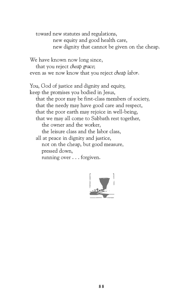toward new statutes and regulations, new equity and good health care, new dignity that cannot be given on the cheap.

We have known now long since, that you reject *cheap* grace; even as we now know that you reject *cheap labor.* 

You, God of justice and dignity and equity, keep the promises you bodied in Jesus, that the poor may be first-class members of society, that the needy may have good care and respect, that the poor earth may rejoice in well-being, that we may all come to Sabbath rest together, the owner and the worker, the leisure class and the labor class, all at peace in dignity and justice, not on the cheap, but good measure, pressed down, running over ... forgiven.

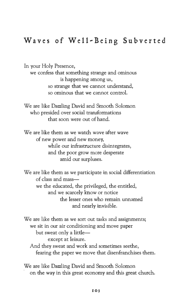### **Waves of Well-Being Subverted**

In your Holy Presence,

we confess that something strange and ominous is happening among us, so strange that we cannot understand, so ominous that we cannot control.

We are like Dazzling David and Smooth Solomon who presided over social transformations that soon were out of hand.

We are like them as we watch wave after wave of new power and new money, while our infrastructure disintegrates, and the poor grow more desperate amid our surpluses.

We are like them as we participate in social differentiation of class and masswe the educated, the privileged, the entitled, and we scarcely know or notice the lesser ones who remain unnamed and nearly invisible.

We are like them as we sort out tasks and assignments; we sit in our air conditioning and move paper but sweat only a littleexcept at leisure. And they sweat and work and sometimes seethe, fearing the paper we move that disenfranchises them.

We are like Dazzling David and Smooth Solomon on the way in this great economy and this great church.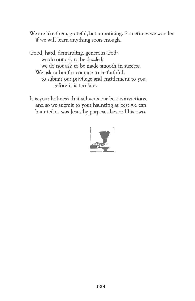We are like them, grateful, but unnoticing. Sometimes we wonder if we will learn anything soon enough.

Good, hard, demanding, generous God: we do not ask to be dazzled; we do not ask to be made smooth in success. We ask rather for courage to be faithful, to submit our privilege and entitlement to you, before it is too late.

It is your holiness that subverts our best convictions, and so we submit to your haunting as best we can, haunted as was Jesus by purposes beyond his own.

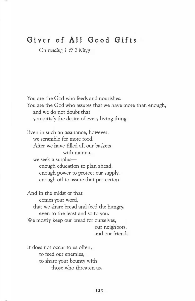#### **Giver of All Good Gifts**

*On reading 1* **&** *2 Kings*

You are the God who feeds and nourishes. You are the God who assures that we have more than enough, and we do not doubt that you satisfy the desire of every living thing.

Even in such an assurance, however, we scramble for more food. After we have filled all our baskets with manna, we seek a surplusenough education to plan ahead, enough power to protect our supply, enough oil to assure that protection.

And in the midst of that comes your word, that we share bread and feed the hungry, even to the least and so to you. We mostly keep our bread for ourselves, our neighbors, and our friends.

It does not occur to us often. to feed our enemies, to share your bounty with those who threaten us.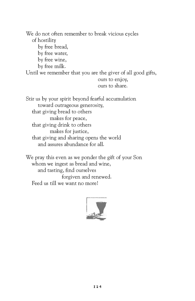We do not often remember to break vicious cycles of hostility by free bread, by free water, by free wine, by free milk. Until we remember that you are the giver of all good gifts, ours to enjoy, ours to share.

Stir us by your spirit beyond fearful accumulation toward outrageous generosity, that giving bread to others makes for peace, that giving drink to others makes for justice, that giving and sharing opens the world and assures abundance for all.

We pray this even as we ponder the gift of your Son whom we ingest as bread and wine, and tasting, find ourselves forgiven and renewed. Feed us till we want no morel

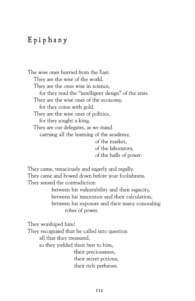#### **Epiphany**

The wise ones hurried from the East. They are the wise of the world. They are the ones wise in science, for they read the "intelligent design" of the stars. They are the wise ones of the economy, for they come with gold. They are the wise ones of politics, for they sought a king. They are our delegates, as we stand carrying all the learning of the academy, of the market, of the laboratory, of the halls of power.

They came, tenaciously and eagerly and regally. They came and bowed down before your foolishness. They sensed the contradiction

between his vulnerability and their sagacity, between his innocence and their calculation, between his exposure and their many concealing robes of power.

They worshiped him! They recognized that he called into question all that they treasured, so they yielded their best to him, their preciousness, their secret potions, their rich perfumes.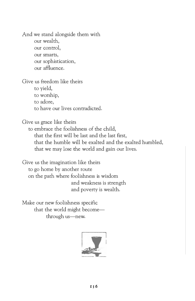And we stand alongside them with our wealth, our control, our smarts, our sophistication, our affluence.

Give us freedom like theirs to yield, to worship,

to adore,

to have our lives contradicted.

Give us grace like theirs

to embrace the foolishness of the child, that the first will be last and the last first, that the humble will be exalted and the exalted humbled, that we may lose the world and gain our lives.

Give us the imagination like theirs to go home by another route on the path where foolishness is wisdom and weakness is strength and poverty is wealth.

Make our new foolishness specific that the world might becomethrough us-new.

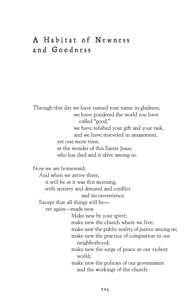# **A Habitat of Newness and Goodness**

Through this day we have named your name in gladness, we have pondered the world you have called "good," we have relished your gift and your task, and we have marveled in amazement, yet one more time, at the wonder of this Easter Jesus, who has died and is alive among us.

Now we are homeward;

And when we arrive there, it will be as it was this morning, with anxiety and demand and conflict

and inconvenience.

Except that all things will be-

yet again-made new.

Make new by your spirit; make new the church where we live; make new the public reality of justice among us; make new the practice of compassion in our neighborhood; make new the surge of peace in our violent world; make new the policies of our government and the workings of the church.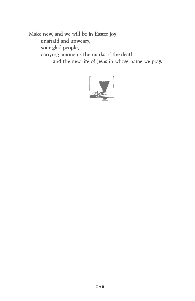Make new, and we will be in Easter joy unafraid and unweary, your glad people, carrying among us the marks of the death and the new life of Jesus in whose name we pray.

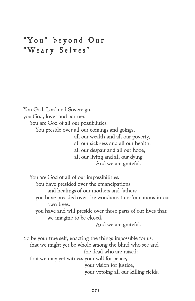# **"You'' beyond Our "Weary Selves"**

You God, Lord and Sovereign, you God, lover and partner. You are God of all our possibilities. You preside over all our comings and goings, all our wealth and all our poverty, all our sickness and all our health, all our despair and all our hope, all our living and all our dying. And we are grateful.

You are God of all of our impossibilities.

You have presided over the emancipations

and healings of our mothers and fathers;

you have presided over the wondrous transformations in our own lives.

you have and will preside over those parts of our lives that we imagine to be closed.

And we are grateful.

So be your true self, enacting the things impossible for us, that we might yet be whole among the blind who see and the dead who are raised; that we may yet witness your will for peace, your vision for justice, your vetoing all our killing fields.